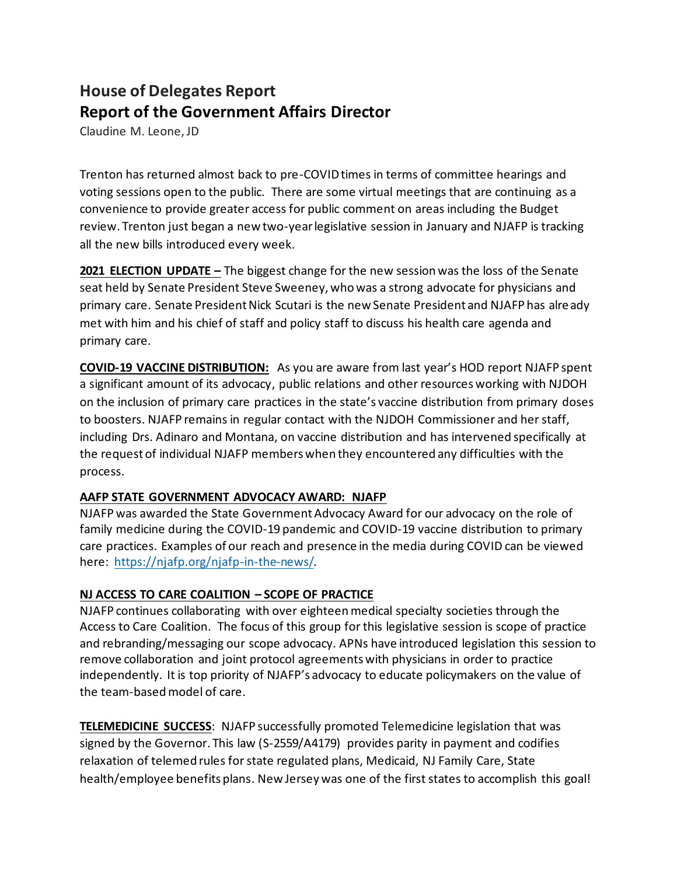## **House of Delegates Report Report of the Government Affairs Director**

Claudine M. Leone, JD

Trenton has returned almost back to pre-COVID times in terms of committee hearings and voting sessions open to the public. There are some virtual meetings that are continuing as a convenience to provide greater access for public comment on areas including the Budget review. Trenton just began a new two-year legislative session in January and NJAFP is tracking all the new bills introduced every week.

**2021 ELECTION UPDATE –** The biggest change for the new session was the loss of the Senate seat held by Senate President Steve Sweeney, who was a strong advocate for physicians and primary care. Senate President Nick Scutari is the new Senate President and NJAFP has already met with him and his chief of staff and policy staff to discuss his health care agenda and primary care.

**COVID-19 VACCINE DISTRIBUTION:** As you are aware from last year's HOD report NJAFP spent a significant amount of its advocacy, public relations and other resources working with NJDOH on the inclusion of primary care practices in the state's vaccine distribution from primary doses to boosters. NJAFP remains in regular contact with the NJDOH Commissioner and her staff, including Drs. Adinaro and Montana, on vaccine distribution and has intervened specifically at the request of individual NJAFP members when they encountered any difficulties with the process.

## **AAFP STATE GOVERNMENT ADVOCACY AWARD: NJAFP**

NJAFP was awarded the State Government Advocacy Award for our advocacy on the role of family medicine during the COVID-19 pandemic and COVID-19 vaccine distribution to primary care practices. Examples of our reach and presence in the media during COVID can be viewed here:<https://njafp.org/njafp-in-the-news/>.

## **NJ ACCESS TO CARE COALITION – SCOPE OF PRACTICE**

NJAFP continues collaborating with over eighteenmedical specialty societies through the Access to Care Coalition. The focus of this group for this legislative session is scope of practice and rebranding/messaging our scope advocacy. APNs have introduced legislation this session to remove collaboration and joint protocol agreements with physicians in order to practice independently. It is top priority of NJAFP's advocacy to educate policymakers on the value of the team-based model of care.

**TELEMEDICINE SUCCESS**: NJAFP successfully promoted Telemedicine legislation that was signed by the Governor. This law (S-2559/A4179) provides parity in payment and codifies relaxation of telemed rules for state regulated plans, Medicaid, NJ Family Care, State health/employee benefits plans. New Jersey was one of the first states to accomplish this goal!